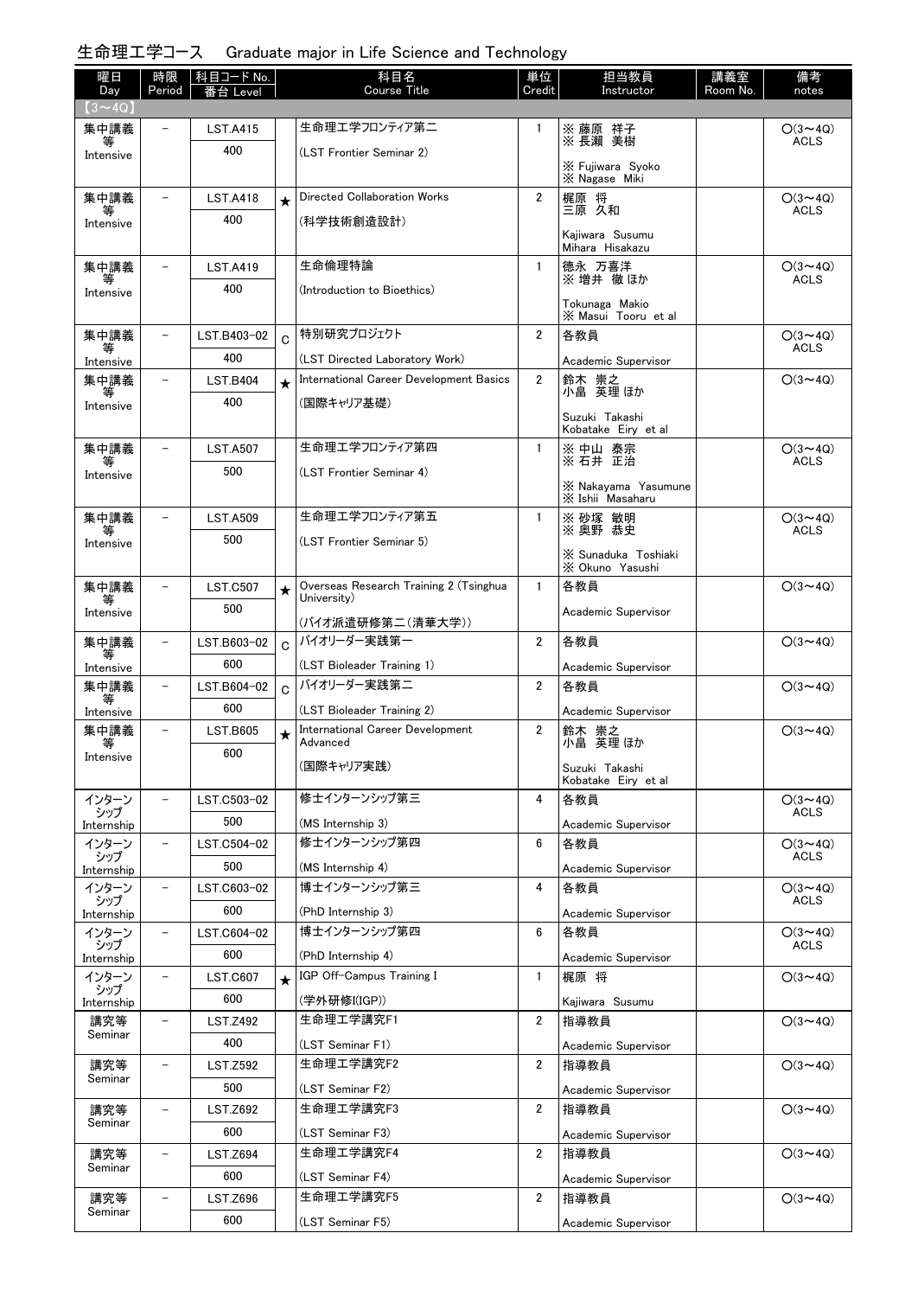## 生命理工学コース Graduate major in Life Science and Technology

| 曜日<br>Day           | 時限<br>Period             | 科目コード No.<br>番台 Level |              | 科目名<br><b>Course Title</b>                            | 単位<br>Credit   | 担当教員<br>Instructor                    | 講義室<br>Room No. | 備考<br>notes                   |
|---------------------|--------------------------|-----------------------|--------------|-------------------------------------------------------|----------------|---------------------------------------|-----------------|-------------------------------|
| $(3 \sim 4Q)$       |                          |                       |              |                                                       |                |                                       |                 |                               |
| 集中講義                |                          | <b>LST.A415</b>       |              | 生命理エ学フロンティア第二                                         | 1              | ※ 藤原 祥子<br>※ 長瀨 美樹                    |                 | $O(3 \sim 4Q)$                |
| Intensive           |                          | 400                   |              | (LST Frontier Seminar 2)                              |                |                                       |                 | <b>ACLS</b>                   |
|                     |                          |                       |              |                                                       |                | X Fujiwara Syoko<br>X Nagase Miki     |                 |                               |
| 集中講義                | $\overline{\phantom{0}}$ | <b>LST.A418</b>       | $\star$      | Directed Collaboration Works                          | $\overline{2}$ | 梶原 将<br>三原 久和                         |                 | $O(3 \sim 4Q)$                |
| 等<br>Intensive      |                          | 400                   |              | (科学技術創造設計)                                            |                |                                       |                 | <b>ACLS</b>                   |
|                     |                          |                       |              |                                                       |                | Kaiiwara Susumu<br>Mihara Hisakazu    |                 |                               |
| 集中講義                |                          | <b>LST.A419</b>       |              | 生命倫理特論                                                | $\mathbf{1}$   | 德永 万喜洋<br>※増井 徹ほか                     |                 | $O(3 \sim 4Q)$<br><b>ACLS</b> |
| Intensive           |                          | 400                   |              | (Introduction to Bioethics)                           |                |                                       |                 |                               |
|                     |                          |                       |              |                                                       |                | Tokunaga Makio<br>X Masui Tooru et al |                 |                               |
| 集中講義<br>等           | $\overline{\phantom{0}}$ | LST.B403-02           | $\mathsf{C}$ | 特別研究プロジェクト                                            | 2              | 各教員                                   |                 | $O(3 \sim 4Q)$<br><b>ACLS</b> |
| Intensive           |                          | 400                   |              | (LST Directed Laboratory Work)                        |                | Academic Supervisor                   |                 |                               |
| 集中講義<br>等           |                          | <b>LST.B404</b>       | $\star$      | International Career Development Basics               | $\overline{2}$ | 鈴木 崇之<br>小畠 英理ほか                      |                 | $O(3 \sim 4Q)$                |
| Intensive           |                          | 400                   |              | (国際キャリア基礎)                                            |                | Suzuki Takashi                        |                 |                               |
|                     |                          |                       |              |                                                       |                | Kobatake Eiry et al                   |                 |                               |
| 集中講義                |                          | <b>LST.A507</b>       |              | 生命理エ学フロンティア第四                                         | $\mathbf{1}$   | ※ 中山 泰宗<br>※ 石井 正治                    |                 | $O(3 \sim 4Q)$<br><b>ACLS</b> |
| Intensive           |                          | 500                   |              | (LST Frontier Seminar 4)                              |                | X Nakavama Yasumune                   |                 |                               |
|                     |                          |                       |              |                                                       |                | X Ishii Masaharu                      |                 |                               |
| 集中講義<br>等           |                          | <b>LST.A509</b>       |              | 生命理エ学フロンティア第五                                         | $\mathbf{1}$   | ※ 砂塚 敏明<br>※ 奥野 恭史                    |                 | $O(3 \sim 4Q)$<br><b>ACLS</b> |
| Intensive           |                          | 500                   |              | (LST Frontier Seminar 5)                              |                | X Sunaduka Toshiaki                   |                 |                               |
|                     |                          |                       |              |                                                       |                | X Okuno Yasushi                       |                 |                               |
| 集中講義<br>等           | $\overline{\phantom{0}}$ | <b>LST.C507</b>       | $\bigstar$   | Overseas Research Training 2 (Tsinghua<br>University) | $\mathbf{1}$   | 各教員                                   |                 | $O(3 \sim 4Q)$                |
| Intensive           |                          | 500                   |              | (バイオ派遣研修第二(清華大学))                                     |                | Academic Supervisor                   |                 |                               |
| 集中講義                | $\overline{\phantom{0}}$ | LST.B603-02           | $\mathbf C$  | バイオリーダー実践第一                                           | $\overline{2}$ | 各教員                                   |                 | $O(3 \sim 4Q)$                |
| 等<br>Intensive      |                          | 600                   |              | (LST Bioleader Training 1)                            |                | Academic Supervisor                   |                 |                               |
| 集中講義<br>等           | $\overline{\phantom{0}}$ | LST.B604-02           | $\mathbf C$  | バイオリーダー実践第二                                           | $\overline{2}$ | 各教員                                   |                 | $O(3 \sim 4Q)$                |
| Intensive           |                          | 600                   |              | (LST Bioleader Training 2)                            |                | Academic Supervisor                   |                 |                               |
| 集中講義<br>等           | -                        | <b>LST.B605</b>       | $\star$      | International Career Development<br>Advanced          | 2              | 鈴木 崇之<br>小畠 英理 ほか                     |                 | $O(3 \sim 4Q)$                |
| Intensive           |                          | 600                   |              | (国際キャリア実践)                                            |                | Suzuki Takashi                        |                 |                               |
|                     |                          |                       |              |                                                       |                | Kobatake Eiry et al                   |                 |                               |
| インターン<br>シップ        | $\overline{\phantom{0}}$ | LST.C503-02           |              | 修士インターンシップ第三                                          | 4              | 各教員                                   |                 | $O(3 \sim 4Q)$<br><b>ACLS</b> |
| Internship          |                          | 500                   |              | (MS Internship 3)                                     |                | Academic Supervisor                   |                 |                               |
| インターン<br>シップ        | $\overline{\phantom{0}}$ | LST.C504-02           |              | 修士インターンシップ第四                                          | 6              | 各教員                                   |                 | $O(3 \sim 4Q)$<br><b>ACLS</b> |
| Internship          | $\qquad \qquad -$        | 500<br>LST.C603-02    |              | (MS Internship 4)<br>博士インターンシップ第三                     | 4              | Academic Supervisor<br>各教員            |                 | $O(3 \sim 4Q)$                |
| インターン<br>シップ        |                          | 600                   |              | (PhD Internship 3)                                    |                |                                       |                 | ACLS                          |
| Internship<br>インターン | -                        | LST.C604-02           |              | 博士インターンシップ第四                                          | 6              | Academic Supervisor<br>各教員            |                 | $O(3 \sim 4Q)$                |
| シップ<br>Internship   |                          | 600                   |              | (PhD Internship 4)                                    |                | Academic Supervisor                   |                 | ACLS                          |
| インターン               |                          | <b>LST.C607</b>       | $\star$      | IGP Off-Campus Training I                             | $\mathbf{1}$   | 梶原 将                                  |                 | $O(3 \sim 4Q)$                |
| シップ<br>Internship   |                          | 600                   |              | (学外研修I(IGP))                                          |                | Kajiwara Susumu                       |                 |                               |
| 講究等                 | $\overline{\phantom{0}}$ | <b>LST.Z492</b>       |              | 生命理工学講究F1                                             | $\overline{2}$ | 指導教員                                  |                 | $O(3 \sim 4Q)$                |
| Seminar             |                          | 400                   |              | (LST Seminar F1)                                      |                | Academic Supervisor                   |                 |                               |
| 講究等                 |                          | <b>LST.Z592</b>       |              | 生命理工学講究F2                                             | 2              | 指導教員                                  |                 | $O(3 \sim 4Q)$                |
| Seminar             |                          | 500                   |              | (LST Seminar F2)                                      |                | Academic Supervisor                   |                 |                               |
| 講究等                 |                          | <b>LST.Z692</b>       |              | 生命理工学講究F3                                             | 2              | 指導教員                                  |                 | $O(3 \sim 4Q)$                |
| Seminar             |                          | 600                   |              | (LST Seminar F3)                                      |                | Academic Supervisor                   |                 |                               |
| 講究等<br>Seminar      |                          | <b>LST.Z694</b>       |              | 生命理工学講究F4                                             | $\overline{2}$ | 指導教員                                  |                 | $O(3 \sim 4Q)$                |
|                     |                          | 600                   |              | (LST Seminar F4)                                      |                | Academic Supervisor                   |                 |                               |
| 講究等<br>Seminar      |                          | <b>LST.Z696</b>       |              | 生命理工学講究F5                                             | $\overline{2}$ | 指導教員                                  |                 | $O(3 \sim 4Q)$                |
|                     |                          | 600                   |              | (LST Seminar F5)                                      |                | Academic Supervisor                   |                 |                               |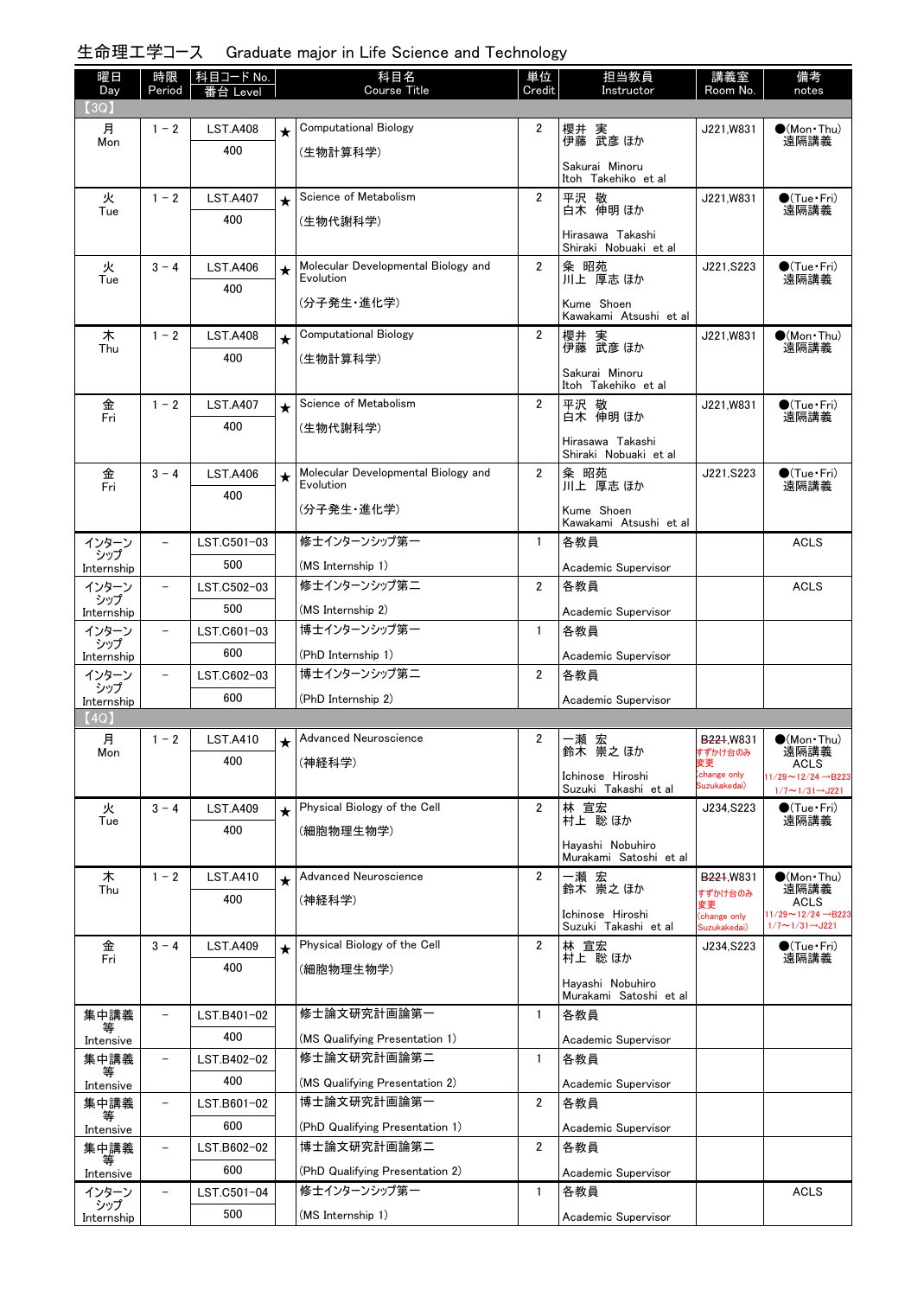## 生命理工学コース Graduate major in Life Science and Technology

| 曜日<br>Day                  | 時限<br>Period             | │科目コード No.<br>番台 Level |            | 科目名<br><b>Course Title</b>                    | 単位<br>Credit          | 担当教員<br>Instructor                         | 講義室<br>Room No.              | 備考<br>notes                                                            |
|----------------------------|--------------------------|------------------------|------------|-----------------------------------------------|-----------------------|--------------------------------------------|------------------------------|------------------------------------------------------------------------|
| (3Q)                       |                          |                        |            |                                               |                       |                                            |                              |                                                                        |
| 月<br>Mon                   | $1 - 2$                  | <b>LST.A408</b>        | $\star$    | <b>Computational Biology</b>                  | $\overline{2}$        | 櫻井 実<br>伊藤 武彦 ほか                           | J221, W831                   | $\bullet$ (Mon•Thu)<br>遠隔講義                                            |
|                            |                          | 400                    |            | (生物計算科学)                                      |                       |                                            |                              |                                                                        |
|                            |                          |                        |            |                                               |                       | Sakurai Minoru<br>Itoh Takehiko et al      |                              |                                                                        |
| 火                          | $1 - 2$                  | <b>LST.A407</b>        | $\star$    | Science of Metabolism                         | $\overline{2}$        | 平沢 敬                                       | J221,W831                    | $\bigcirc$ (Tue · Fri)                                                 |
| Tue                        |                          | 400                    |            | (生物代謝科学)                                      |                       | 白木 伸明 ほか                                   |                              | 遠隔講義                                                                   |
|                            |                          |                        |            |                                               |                       | Hirasawa Takashi<br>Shiraki Nobuaki et al  |                              |                                                                        |
| 火                          | $3 - 4$                  | <b>LST.A406</b>        | $\star$    | Molecular Developmental Biology and           | $\overline{2}$        | 粂 昭苑                                       | J221, S223                   | $\bullet$ (Tue•Fri)                                                    |
| Tue                        |                          | 400                    |            | Evolution                                     |                       | 川上 厚志 ほか                                   |                              | 遠隔講義                                                                   |
|                            |                          |                        |            | (分子発生・進化学)                                    |                       | Kume Shoen<br>Kawakami Atsushi et al       |                              |                                                                        |
| 木<br>Thu                   | $1 - 2$                  | <b>LST.A408</b>        | $\star$    | <b>Computational Biology</b>                  | $\overline{2}$        | 櫻井 実<br>伊藤 武彦 ほか                           | J221,W831                    | $\bullet$ (Mon Thu)<br>遠隔講義                                            |
|                            |                          | 400                    |            | (生物計算科学)                                      |                       |                                            |                              |                                                                        |
|                            |                          |                        |            |                                               |                       | Sakurai Minoru<br>Itoh Takehiko et al      |                              |                                                                        |
| 金                          | $1 - 2$                  | <b>LST.A407</b>        | $\star$    | Science of Metabolism                         | $\overline{2}$        | 平沢 敬                                       | J221, W831                   | $\bullet$ (Tue · Fri)                                                  |
| Fri                        |                          | 400                    |            | (生物代謝科学)                                      |                       | 白木 伸明 ほか                                   |                              | 遠隔講義                                                                   |
|                            |                          |                        |            |                                               |                       | Hirasawa Takashi<br>Shiraki Nobuaki et al  |                              |                                                                        |
| 金                          | $3 - 4$                  | <b>LST.A406</b>        | $\star$    | Molecular Developmental Biology and           | $\mathbf{2}^{\prime}$ | 粂 昭苑<br>川上 厚志ほか                            | J221.S223                    | $\bigcirc$ (Tue · Fri)                                                 |
| Fri                        |                          | 400                    |            | Evolution                                     |                       |                                            |                              | 遠隔講義                                                                   |
|                            |                          |                        |            | (分子発生・進化学)                                    |                       | Kume Shoen<br>Kawakami Atsushi et al       |                              |                                                                        |
| インターン                      |                          | LST.C501-03            |            | 修士インターンシップ第一                                  | $\mathbf{1}$          | 各教員                                        |                              | <b>ACLS</b>                                                            |
| シップ                        |                          | 500                    |            | (MS Internship 1)                             |                       | Academic Supervisor                        |                              |                                                                        |
| Internship<br>インターン        | $\overline{\phantom{a}}$ | LST.C502-03            |            | 修士インターンシップ第二                                  | $\overline{2}$        | 各教員                                        |                              | <b>ACLS</b>                                                            |
| シップ                        |                          | 500                    |            | (MS Internship 2)                             |                       | Academic Supervisor                        |                              |                                                                        |
| Internship<br>インターン        | $\overline{\phantom{a}}$ | LST.C601-03            |            | 博士インターンシップ第一                                  | $\mathbf{1}$          | 各教員                                        |                              |                                                                        |
| シップ                        |                          | 600                    |            | (PhD Internship 1)                            |                       | Academic Supervisor                        |                              |                                                                        |
| Internship<br>インターン        | $\overline{a}$           | LST.C602-03            |            | 博士インターンシップ第二                                  | 2                     | 各教員                                        |                              |                                                                        |
| シップ                        |                          | 600                    |            | (PhD Internship 2)                            |                       | Academic Supervisor                        |                              |                                                                        |
| Internship<br>$(4{\rm Q})$ |                          |                        |            |                                               |                       |                                            |                              |                                                                        |
| 月                          | $1 - 2$                  | <b>LST.A410</b>        | $\bigstar$ | Advanced Neuroscience                         | $\overline{2}$        | 一瀬 宏<br>鈴木 崇之ほか                            | B <sub>221</sub> , W831      | $\bullet$ (Mon Thu)                                                    |
| Mon                        |                          | 400                    |            | (神経科学)                                        |                       |                                            | すずかけ台のみ<br>変更                | 遠隔講義<br>ACLS                                                           |
|                            |                          |                        |            |                                               |                       | Ichinose Hiroshi<br>Suzuki Takashi et al   | (change only<br>Suzukakedai) | $1/29 \sim 12/24 \rightarrow B223$<br>$1/7 \sim 1/31 \rightarrow$ J221 |
| 火                          | $3 - 4$                  | <b>LST.A409</b>        | $\star$    | Physical Biology of the Cell                  | $\overline{2}$        | 林 宣宏                                       | J234, S223                   | $\bigcirc$ (Tue · Fri)                                                 |
| Tue                        |                          | 400                    |            | (細胞物理生物学)                                     |                       | 村上 聡 ほか                                    |                              | 遠隔講義                                                                   |
|                            |                          |                        |            |                                               |                       | Hayashi Nobuhiro<br>Murakami Satoshi et al |                              |                                                                        |
| 木                          | $1 - 2$                  | <b>LST.A410</b>        | $\star$    | Advanced Neuroscience                         | $\overline{2}$        |                                            | <b>B221,W831</b>             | $(Mon$ Thu)                                                            |
| Thu                        |                          | 400                    |            | (神経科学)                                        |                       | 一瀬 宏<br>鈴木 崇之ほか                            | すずかけ台のみ                      | 遠隔講義<br>ACLS                                                           |
|                            |                          |                        |            |                                               |                       | Ichinose Hiroshi                           | 変更<br>(change only           | $1/29 \sim 12/24 \rightarrow B223$<br>$1/7 \sim 1/31 \rightarrow$ J221 |
| 金                          | $3 - 4$                  | <b>LST.A409</b>        | $\star$    | Physical Biology of the Cell                  | $\overline{2}$        | Suzuki Takashi et al                       | Suzukakedai)<br>J234, S223   | $\bullet$ (Tue · Fri)                                                  |
| Fri                        |                          | 400                    |            | (細胞物理生物学)                                     |                       | 林 宣宏<br>村上 聡ほか                             |                              | 遠隔講義                                                                   |
|                            |                          |                        |            |                                               |                       | Hayashi Nobuhiro                           |                              |                                                                        |
| 集中講義                       |                          | LST.B401-02            |            | 修士論文研究計画論第一                                   | $\mathbf{1}$          | Murakami Satoshi et al<br>各教員              |                              |                                                                        |
|                            |                          | 400                    |            |                                               |                       |                                            |                              |                                                                        |
| Intensive<br>集中講義          | $\qquad \qquad -$        | LST.B402-02            |            | (MS Qualifying Presentation 1)<br>修士論文研究計画論第二 | $\mathbf{1}$          | Academic Supervisor<br>各教員                 |                              |                                                                        |
| 等                          |                          | 400                    |            |                                               |                       |                                            |                              |                                                                        |
| Intensive<br>集中講義          | $\qquad \qquad -$        | LST.B601-02            |            | (MS Qualifying Presentation 2)<br>博士論文研究計画論第一 | $\overline{2}$        | Academic Supervisor<br>各教員                 |                              |                                                                        |
| 等                          |                          | 600                    |            | (PhD Qualifying Presentation 1)               |                       |                                            |                              |                                                                        |
| Intensive<br>集中講義          | -                        | LST.B602-02            |            | 博士論文研究計画論第二                                   | $\overline{2}$        | Academic Supervisor<br>各教員                 |                              |                                                                        |
| 等                          |                          | 600                    |            | (PhD Qualifying Presentation 2)               |                       |                                            |                              |                                                                        |
| Intensive<br>インターン         | $\overline{\phantom{0}}$ | LST.C501-04            |            | 修士インターンシップ第一                                  | $\mathbf{1}$          | Academic Supervisor<br>各教員                 |                              | <b>ACLS</b>                                                            |
| シップ                        |                          | 500                    |            | (MS Internship 1)                             |                       |                                            |                              |                                                                        |
| Internship                 |                          |                        |            |                                               |                       | Academic Supervisor                        |                              |                                                                        |